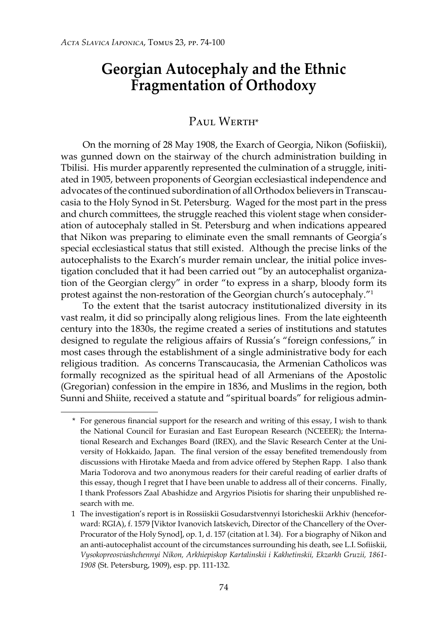# **Georgian Autocephaly and the Ethnic Fragmentation of Orthodoxy**

## PAUL WERTH\*

On the morning of 28 May 1908, the Exarch of Georgia, Nikon (Sofiiskii), was gunned down on the stairway of the church administration building in Tbilisi. His murder apparently represented the culmination of a struggle, initiated in 1905, between proponents of Georgian ecclesiastical independence and advocates of the continued subordination of all Orthodox believers in Transcaucasia to the Holy Synod in St. Petersburg. Waged for the most part in the press and church committees, the struggle reached this violent stage when consideration of autocephaly stalled in St. Petersburg and when indications appeared that Nikon was preparing to eliminate even the small remnants of Georgia's special ecclesiastical status that still existed. Although the precise links of the autocephalists to the Exarch's murder remain unclear, the initial police investigation concluded that it had been carried out "by an autocephalist organization of the Georgian clergy" in order "to express in a sharp, bloody form its protest against the non-restoration of the Georgian church's autocephaly."<sup>1</sup>

To the extent that the tsarist autocracy institutionalized diversity in its vast realm, it did so principally along religious lines. From the late eighteenth century into the 1830s, the regime created a series of institutions and statutes designed to regulate the religious affairs of Russia's "foreign confessions," in most cases through the establishment of a single administrative body for each religious tradition. As concerns Transcaucasia, the Armenian Catholicos was formally recognized as the spiritual head of all Armenians of the Apostolic (Gregorian) confession in the empire in 1836, and Muslims in the region, both Sunni and Shiite, received a statute and "spiritual boards" for religious admin-

<sup>\*</sup> For generous financial support for the research and writing of this essay, I wish to thank the National Council for Eurasian and East European Research (NCEEER); the International Research and Exchanges Board (IREX), and the Slavic Research Center at the University of Hokkaido, Japan. The final version of the essay benefited tremendously from discussions with Hirotake Maeda and from advice offered by Stephen Rapp. I also thank Maria Todorova and two anonymous readers for their careful reading of earlier drafts of this essay, though I regret that I have been unable to address all of their concerns. Finally, I thank Professors Zaal Abashidze and Argyrios Pisiotis for sharing their unpublished research with me.

<sup>1</sup> The investigation's report is in Rossiiskii Gosudarstvennyi Istoricheskii Arkhiv (henceforward: RGIA), f. 1579 [Viktor Ivanovich Iatskevich, Director of the Chancellery of the Over-Procurator of the Holy Synod], op. 1, d. 157 (citation at l. 34). For a biography of Nikon and an anti-autocephalist account of the circumstances surrounding his death, see L.I. Sofiiskii, *Vysokopreosviashchennyi Nikon, Arkhiepiskop Kartalinskii i Kakhetinskii, Ekzarkh Gruzii, 1861- 1908* (St. Petersburg, 1909), esp. pp. 111-132.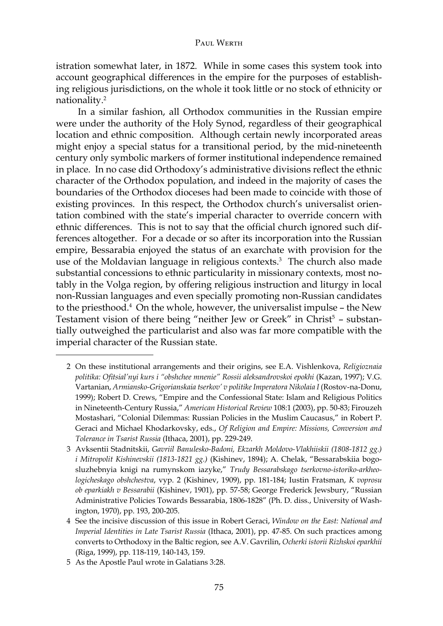istration somewhat later, in 1872. While in some cases this system took into account geographical differences in the empire for the purposes of establishing religious jurisdictions, on the whole it took little or no stock of ethnicity or nationality.<sup>2</sup>

In a similar fashion, all Orthodox communities in the Russian empire were under the authority of the Holy Synod, regardless of their geographical location and ethnic composition. Although certain newly incorporated areas might enjoy a special status for a transitional period, by the mid-nineteenth century only symbolic markers of former institutional independence remained in place. In no case did Orthodoxy's administrative divisions reflect the ethnic character of the Orthodox population, and indeed in the majority of cases the boundaries of the Orthodox dioceses had been made to coincide with those of existing provinces. In this respect, the Orthodox church's universalist orientation combined with the state's imperial character to override concern with ethnic differences. This is not to say that the official church ignored such differences altogether. For a decade or so after its incorporation into the Russian empire, Bessarabia enjoyed the status of an exarchate with provision for the use of the Moldavian language in religious contexts. $3$  The church also made substantial concessions to ethnic particularity in missionary contexts, most notably in the Volga region, by offering religious instruction and liturgy in local non-Russian languages and even specially promoting non-Russian candidates to the priesthood.<sup>4</sup> On the whole, however, the universalist impulse – the New Testament vision of there being "neither Jew or Greek" in Christ<sup>5</sup> - substantially outweighed the particularist and also was far more compatible with the imperial character of the Russian state.

<sup>2</sup> On these institutional arrangements and their origins, see E.A. Vishlenkova, *Religioznaia politika: Ofitsial'nyi kurs i "obshchee mnenie" Rossii aleksandrovskoi epokhi* (Kazan, 1997); V.G. Vartanian, *Armiansko-Grigorianskaia tserkov' v politike Imperatora Nikolaia I* (Rostov-na-Donu, 1999); Robert D. Crews, "Empire and the Confessional State: Islam and Religious Politics in Nineteenth-Century Russia," *American Historical Review* 108:1 (2003), pp. 50-83; Firouzeh Mostashari, "Colonial Dilemmas: Russian Policies in the Muslim Caucasus," in Robert P. Geraci and Michael Khodarkovsky, eds., *Of Religion and Empire: Missions, Conversion and Tolerance in Tsarist Russia* (Ithaca, 2001), pp. 229-249.

<sup>3</sup> Avksentii Stadnitskii, *Gavriil Banulesko-Badoni, Ekzarkh Moldovo-Vlakhiiskii (1808-1812 gg.) i Mitropolit Kishinevskii (1813-1821 gg.)* (Kishinev, 1894); A. Chelak, "Bessarabskiia bogosluzhebnyia knigi na rumynskom iazyke," *Trudy Bessarabskago tserkovno-istoriko-arkheologicheskago obshchestva*, vyp. 2 (Kishinev, 1909), pp. 181-184; Iustin Fratsman, *K voprosu ob eparkiakh v Bessarabii* (Kishinev, 1901), pp. 57-58; George Frederick Jewsbury, "Russian Administrative Policies Towards Bessarabia, 1806-1828" (Ph. D. diss., University of Washington, 1970), pp. 193, 200-205.

<sup>4</sup> See the incisive discussion of this issue in Robert Geraci, *Window on the East: National and Imperial Identities in Late Tsarist Russia* (Ithaca, 2001), pp. 47-85. On such practices among converts to Orthodoxy in the Baltic region, see A.V. Gavrilin, *Ocherki istorii Rizhskoi eparkhii* (Riga, 1999), pp. 118-119, 140-143, 159.

<sup>5</sup> As the Apostle Paul wrote in Galatians 3:28.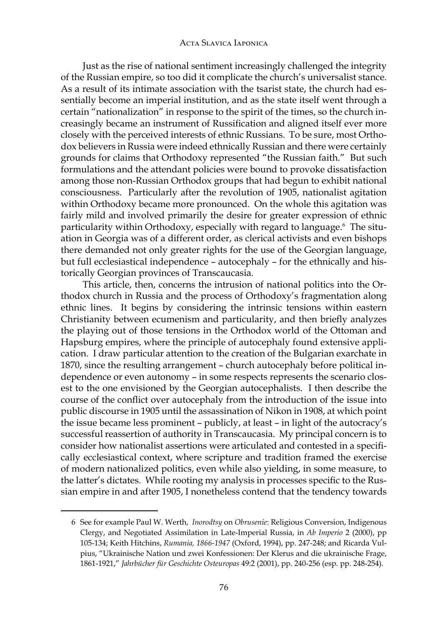Just as the rise of national sentiment increasingly challenged the integrity of the Russian empire, so too did it complicate the church's universalist stance. As a result of its intimate association with the tsarist state, the church had essentially become an imperial institution, and as the state itself went through a certain "nationalization" in response to the spirit of the times, so the church increasingly became an instrument of Russification and aligned itself ever more closely with the perceived interests of ethnic Russians. To be sure, most Orthodox believers in Russia were indeed ethnically Russian and there were certainly grounds for claims that Orthodoxy represented "the Russian faith." But such formulations and the attendant policies were bound to provoke dissatisfaction among those non-Russian Orthodox groups that had begun to exhibit national consciousness. Particularly after the revolution of 1905, nationalist agitation within Orthodoxy became more pronounced. On the whole this agitation was fairly mild and involved primarily the desire for greater expression of ethnic particularity within Orthodoxy, especially with regard to language.6 The situation in Georgia was of a different order, as clerical activists and even bishops there demanded not only greater rights for the use of the Georgian language, but full ecclesiastical independence – autocephaly – for the ethnically and historically Georgian provinces of Transcaucasia.

This article, then, concerns the intrusion of national politics into the Orthodox church in Russia and the process of Orthodoxy's fragmentation along ethnic lines. It begins by considering the intrinsic tensions within eastern Christianity between ecumenism and particularity, and then briefly analyzes the playing out of those tensions in the Orthodox world of the Ottoman and Hapsburg empires, where the principle of autocephaly found extensive application. I draw particular attention to the creation of the Bulgarian exarchate in 1870, since the resulting arrangement – church autocephaly before political independence or even autonomy – in some respects represents the scenario closest to the one envisioned by the Georgian autocephalists. I then describe the course of the conflict over autocephaly from the introduction of the issue into public discourse in 1905 until the assassination of Nikon in 1908, at which point the issue became less prominent – publicly, at least – in light of the autocracy's successful reassertion of authority in Transcaucasia. My principal concern is to consider how nationalist assertions were articulated and contested in a specifically ecclesiastical context, where scripture and tradition framed the exercise of modern nationalized politics, even while also yielding, in some measure, to the latter's dictates. While rooting my analysis in processes specific to the Russian empire in and after 1905, I nonetheless contend that the tendency towards

<sup>6</sup> See for example Paul W. Werth, *Inorodtsy* on *Obrusenie*: Religious Conversion, Indigenous Clergy, and Negotiated Assimilation in Late-Imperial Russia, in *Ab Imperio* 2 (2000), pp 105-134; Keith Hitchins, *Rumania, 1866-1947* (Oxford, 1994), pp. 247-248; and Ricarda Vulpius, "Ukrainische Nation und zwei Konfessionen: Der Klerus and die ukrainische Frage, 1861-1921," *Jahrbücher für Geschichte Osteuropas* 49:2 (2001), pp. 240-256 (esp. pp. 248-254).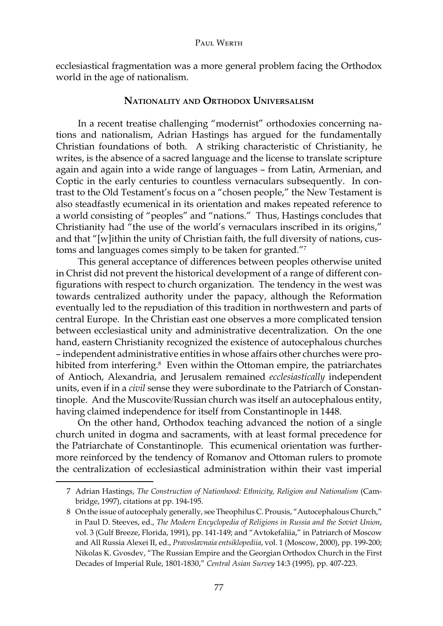ecclesiastical fragmentation was a more general problem facing the Orthodox world in the age of nationalism.

## **Nationality and Orthodox Universalism**

In a recent treatise challenging "modernist" orthodoxies concerning nations and nationalism, Adrian Hastings has argued for the fundamentally Christian foundations of both. A striking characteristic of Christianity, he writes, is the absence of a sacred language and the license to translate scripture again and again into a wide range of languages – from Latin, Armenian, and Coptic in the early centuries to countless vernaculars subsequently. In contrast to the Old Testament's focus on a "chosen people," the New Testament is also steadfastly ecumenical in its orientation and makes repeated reference to a world consisting of "peoples" and "nations." Thus, Hastings concludes that Christianity had "the use of the world's vernaculars inscribed in its origins," and that "[w]ithin the unity of Christian faith, the full diversity of nations, customs and languages comes simply to be taken for granted."<sup>7</sup>

This general acceptance of differences between peoples otherwise united in Christ did not prevent the historical development of a range of different configurations with respect to church organization. The tendency in the west was towards centralized authority under the papacy, although the Reformation eventually led to the repudiation of this tradition in northwestern and parts of central Europe. In the Christian east one observes a more complicated tension between ecclesiastical unity and administrative decentralization. On the one hand, eastern Christianity recognized the existence of autocephalous churches – independent administrative entities in whose affairs other churches were prohibited from interfering.<sup>8</sup> Even within the Ottoman empire, the patriarchates of Antioch, Alexandria, and Jerusalem remained *ecclesiastically* independent units, even if in a *civil* sense they were subordinate to the Patriarch of Constantinople. And the Muscovite/Russian church was itself an autocephalous entity, having claimed independence for itself from Constantinople in 1448.

On the other hand, Orthodox teaching advanced the notion of a single church united in dogma and sacraments, with at least formal precedence for the Patriarchate of Constantinople. This ecumenical orientation was furthermore reinforced by the tendency of Romanov and Ottoman rulers to promote the centralization of ecclesiastical administration within their vast imperial

<sup>7</sup> Adrian Hastings, *The Construction of Nationhood: Ethnicity, Religion and Nationalism* (Cambridge, 1997), citations at pp. 194-195.

<sup>8</sup> On the issue of autocephaly generally, see Theophilus C. Prousis, "Autocephalous Church," in Paul D. Steeves, ed., *The Modern Encyclopedia of Religions in Russia and the Soviet Union*, vol. 3 (Gulf Breeze, Florida, 1991), pp. 141-149; and "Avtokefaliia," in Patriarch of Moscow and All Russia Alexei II, ed., *Pravoslavnaia entsiklopediia*, vol. 1 (Moscow, 2000), pp. 199-200; Nikolas K. Gvosdev, "The Russian Empire and the Georgian Orthodox Church in the First Decades of Imperial Rule, 1801-1830," *Central Asian Survey* 14:3 (1995), pp. 407-223.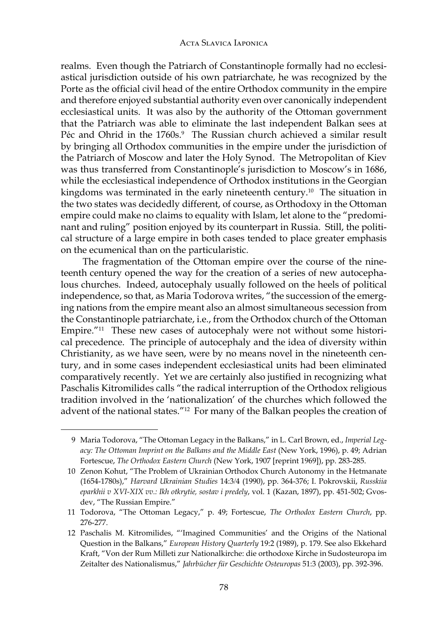realms. Even though the Patriarch of Constantinople formally had no ecclesiastical jurisdiction outside of his own patriarchate, he was recognized by the Porte as the official civil head of the entire Orthodox community in the empire and therefore enjoyed substantial authority even over canonically independent ecclesiastical units. It was also by the authority of the Ottoman government that the Patriarch was able to eliminate the last independent Balkan sees at Péc and Ohrid in the 1760s.<sup>9</sup> The Russian church achieved a similar result by bringing all Orthodox communities in the empire under the jurisdiction of the Patriarch of Moscow and later the Holy Synod. The Metropolitan of Kiev was thus transferred from Constantinople's jurisdiction to Moscow's in 1686, while the ecclesiastical independence of Orthodox institutions in the Georgian kingdoms was terminated in the early nineteenth century.<sup>10</sup> The situation in the two states was decidedly different, of course, as Orthodoxy in the Ottoman empire could make no claims to equality with Islam, let alone to the "predominant and ruling" position enjoyed by its counterpart in Russia. Still, the political structure of a large empire in both cases tended to place greater emphasis on the ecumenical than on the particularistic.

The fragmentation of the Ottoman empire over the course of the nineteenth century opened the way for the creation of a series of new autocephalous churches. Indeed, autocephaly usually followed on the heels of political independence, so that, as Maria Todorova writes, "the succession of the emerging nations from the empire meant also an almost simultaneous secession from the Constantinople patriarchate, i.e., from the Orthodox church of the Ottoman Empire."11 These new cases of autocephaly were not without some historical precedence. The principle of autocephaly and the idea of diversity within Christianity, as we have seen, were by no means novel in the nineteenth century, and in some cases independent ecclesiastical units had been eliminated comparatively recently. Yet we are certainly also justified in recognizing what Paschalis Kitromilides calls "the radical interruption of the Orthodox religious tradition involved in the 'nationalization' of the churches which followed the advent of the national states."<sup>12</sup> For many of the Balkan peoples the creation of

<sup>9</sup> Maria Todorova, "The Ottoman Legacy in the Balkans," in L. Carl Brown, ed., *Imperial Legacy: The Ottoman Imprint on the Balkans and the Middle East* (New York, 1996), p. 49; Adrian Fortescue, *The Orthodox Eastern Church* (New York, 1907 [reprint 1969]), pp. 283-285.

<sup>10</sup> Zenon Kohut, "The Problem of Ukrainian Orthodox Church Autonomy in the Hetmanate (1654-1780s)," *Harvard Ukrainian Studies* 14:3/4 (1990), pp. 364-376; I. Pokrovskii, *Russkiia eparkhii v XVI-XIX vv.: Ikh otkrytie, sostav i predely*, vol. 1 (Kazan, 1897), pp. 451-502; Gvosdev, "The Russian Empire."

<sup>11</sup> Todorova, "The Ottoman Legacy," p. 49; Fortescue, *The Orthodox Eastern Church*, pp. 276-277.

<sup>12</sup> Paschalis M. Kitromilides, "'Imagined Communities' and the Origins of the National Question in the Balkans," *European History Quarterly* 19:2 (1989), p. 179. See also Ekkehard Kraft, "Von der Rum Milleti zur Nationalkirche: die orthodoxe Kirche in Sudosteuropa im Zeitalter des Nationalismus," *Jahrbücher für Geschichte Osteuropas* 51:3 (2003), pp. 392-396.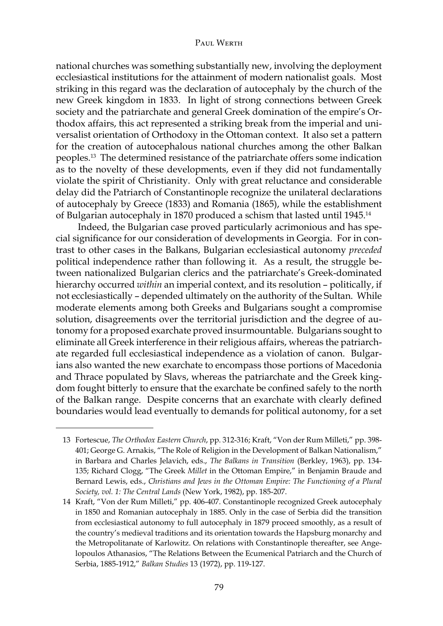national churches was something substantially new, involving the deployment ecclesiastical institutions for the attainment of modern nationalist goals. Most striking in this regard was the declaration of autocephaly by the church of the new Greek kingdom in 1833. In light of strong connections between Greek society and the patriarchate and general Greek domination of the empire's Orthodox affairs, this act represented a striking break from the imperial and universalist orientation of Orthodoxy in the Ottoman context. It also set a pattern for the creation of autocephalous national churches among the other Balkan peoples.13 The determined resistance of the patriarchate offers some indication as to the novelty of these developments, even if they did not fundamentally violate the spirit of Christianity. Only with great reluctance and considerable delay did the Patriarch of Constantinople recognize the unilateral declarations of autocephaly by Greece (1833) and Romania (1865), while the establishment of Bulgarian autocephaly in 1870 produced a schism that lasted until 1945.14

Indeed, the Bulgarian case proved particularly acrimonious and has special significance for our consideration of developments in Georgia. For in contrast to other cases in the Balkans, Bulgarian ecclesiastical autonomy *preceded* political independence rather than following it. As a result, the struggle between nationalized Bulgarian clerics and the patriarchate's Greek-dominated hierarchy occurred *within* an imperial context, and its resolution – politically, if not ecclesiastically – depended ultimately on the authority of the Sultan. While moderate elements among both Greeks and Bulgarians sought a compromise solution, disagreements over the territorial jurisdiction and the degree of autonomy for a proposed exarchate proved insurmountable. Bulgarians sought to eliminate all Greek interference in their religious affairs, whereas the patriarchate regarded full ecclesiastical independence as a violation of canon. Bulgarians also wanted the new exarchate to encompass those portions of Macedonia and Thrace populated by Slavs, whereas the patriarchate and the Greek kingdom fought bitterly to ensure that the exarchate be confined safely to the north of the Balkan range. Despite concerns that an exarchate with clearly defined boundaries would lead eventually to demands for political autonomy, for a set

<sup>13</sup> Fortescue, *The Orthodox Eastern Church*, pp. 312-316; Kraft, "Von der Rum Milleti," pp. 398- 401; George G. Arnakis, "The Role of Religion in the Development of Balkan Nationalism," in Barbara and Charles Jelavich, eds., *The Balkans in Transition* (Berkley, 1963), pp. 134- 135; Richard Clogg, "The Greek *Millet* in the Ottoman Empire," in Benjamin Braude and Bernard Lewis, eds., *Christians and Jews in the Ottoman Empire: The Functioning of a Plural Society, vol. 1: The Central Lands* (New York, 1982), pp. 185-207.

<sup>14</sup> Kraft, "Von der Rum Milleti," pp. 406-407. Constantinople recognized Greek autocephaly in 1850 and Romanian autocephaly in 1885. Only in the case of Serbia did the transition from ecclesiastical autonomy to full autocephaly in 1879 proceed smoothly, as a result of the country's medieval traditions and its orientation towards the Hapsburg monarchy and the Metropolitanate of Karlowitz. On relations with Constantinople thereafter, see Angelopoulos Athanasios, "The Relations Between the Ecumenical Patriarch and the Church of Serbia, 1885-1912," *Balkan Studies* 13 (1972), pp. 119-127.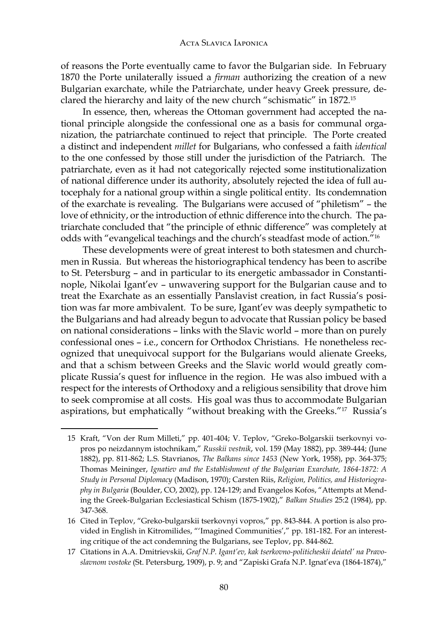of reasons the Porte eventually came to favor the Bulgarian side. In February 1870 the Porte unilaterally issued a *firman* authorizing the creation of a new Bulgarian exarchate, while the Patriarchate, under heavy Greek pressure, declared the hierarchy and laity of the new church "schismatic" in 1872.15

In essence, then, whereas the Ottoman government had accepted the national principle alongside the confessional one as a basis for communal organization, the patriarchate continued to reject that principle. The Porte created a distinct and independent *millet* for Bulgarians, who confessed a faith *identical* to the one confessed by those still under the jurisdiction of the Patriarch. The patriarchate, even as it had not categorically rejected some institutionalization of national difference under its authority, absolutely rejected the idea of full autocephaly for a national group within a single political entity. Its condemnation of the exarchate is revealing. The Bulgarians were accused of "philetism" – the love of ethnicity, or the introduction of ethnic difference into the church. The patriarchate concluded that "the principle of ethnic difference" was completely at odds with "evangelical teachings and the church's steadfast mode of action."16

These developments were of great interest to both statesmen and churchmen in Russia. But whereas the historiographical tendency has been to ascribe to St. Petersburg – and in particular to its energetic ambassador in Constantinople, Nikolai Igant'ev – unwavering support for the Bulgarian cause and to treat the Exarchate as an essentially Panslavist creation, in fact Russia's position was far more ambivalent. To be sure, Igant'ev was deeply sympathetic to the Bulgarians and had already begun to advocate that Russian policy be based on national considerations – links with the Slavic world – more than on purely confessional ones – i.e., concern for Orthodox Christians. He nonetheless recognized that unequivocal support for the Bulgarians would alienate Greeks, and that a schism between Greeks and the Slavic world would greatly complicate Russia's quest for influence in the region. He was also imbued with a respect for the interests of Orthodoxy and a religious sensibility that drove him to seek compromise at all costs. His goal was thus to accommodate Bulgarian aspirations, but emphatically "without breaking with the Greeks."17 Russia's

<sup>15</sup> Kraft, "Von der Rum Milleti," pp. 401-404; V. Teplov, "Greko-Bolgarskii tserkovnyi vopros po neizdannym istochnikam," *Russkii vestnik*, vol. 159 (May 1882), pp. 389-444; (June 1882), pp. 811-862; L.S. Stavrianos, *The Balkans since 1453* (New York, 1958), pp. 364-375; Thomas Meininger, *Ignatiev and the Establishment of the Bulgarian Exarchate, 1864-1872: A Study in Personal Diplomacy* (Madison, 1970); Carsten Riis, *Religion, Politics, and Historiography in Bulgaria* (Boulder, CO, 2002), pp. 124-129; and Evangelos Kofos, "Attempts at Mending the Greek-Bulgarian Ecclesiastical Schism (1875-1902)," *Balkan Studies* 25:2 (1984), pp. 347-368.

<sup>16</sup> Cited in Teplov, "Greko-bulgarskii tserkovnyi vopros," pp. 843-844. A portion is also provided in English in Kitromilides, "'Imagined Communities'," pp. 181-182. For an interesting critique of the act condemning the Bulgarians, see Teplov, pp. 844-862.

<sup>17</sup> Citations in A.A. Dmitrievskii, *Graf N.P. Igant'ev, kak tserkovno-politicheskii deiatel' na Pravoslavnom vostoke* (St. Petersburg, 1909), p. 9; and "Zapiski Grafa N.P. Ignat'eva (1864-1874),"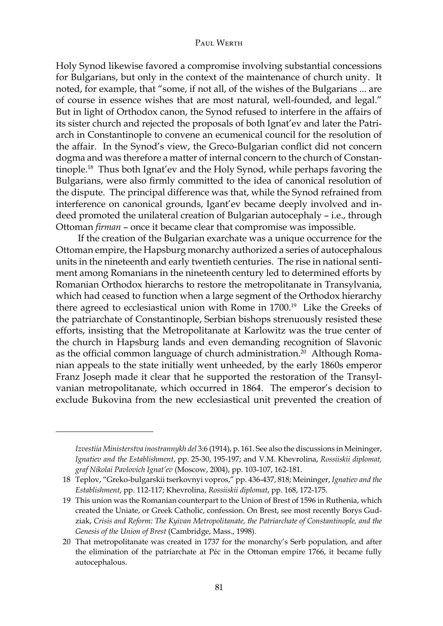Holy Synod likewise favored a compromise involving substantial concessions for Bulgarians, but only in the context of the maintenance of church unity. It noted, for example, that "some, if not all, of the wishes of the Bulgarians ... are of course in essence wishes that are most natural, well-founded, and legal." But in light of Orthodox canon, the Synod refused to interfere in the affairs of its sister church and rejected the proposals of both Ignat'ev and later the Patriarch in Constantinople to convene an ecumenical council for the resolution of the affair. In the Synod's view, the Greco-Bulgarian conflict did not concern dogma and was therefore a matter of internal concern to the church of Constantinople.<sup>18</sup> Thus both Ignat'ev and the Holy Synod, while perhaps favoring the Bulgarians, were also firmly committed to the idea of canonical resolution of the dispute. The principal difference was that, while the Synod refrained from interference on canonical grounds, Igant'ev became deeply involved and indeed promoted the unilateral creation of Bulgarian autocephaly – i.e., through Ottoman *firman* – once it became clear that compromise was impossible.

If the creation of the Bulgarian exarchate was a unique occurrence for the Ottoman empire, the Hapsburg monarchy authorized a series of autocephalous units in the nineteenth and early twentieth centuries. The rise in national sentiment among Romanians in the nineteenth century led to determined efforts by Romanian Orthodox hierarchs to restore the metropolitanate in Transylvania, which had ceased to function when a large segment of the Orthodox hierarchy there agreed to ecclesiastical union with Rome in 1700.<sup>19</sup> Like the Greeks of the patriarchate of Constantinople, Serbian bishops strenuously resisted these efforts, insisting that the Metropolitanate at Karlowitz was the true center of the church in Hapsburg lands and even demanding recognition of Slavonic as the official common language of church administration.<sup>20</sup> Although Romanian appeals to the state initially went unheeded, by the early 1860s emperor Franz Joseph made it clear that he supported the restoration of the Transylvanian metropolitanate, which occurred in 1864. The emperor's decision to exclude Bukovina from the new ecclesiastical unit prevented the creation of

*Izvestiia Ministerstva inostrannykh del* 3:6 (1914), p. 161. See also the discussions in Meininger, *Ignatiev and the Establishment*, pp. 25-30, 195-197; and V.M. Khevrolina, *Rossiiskii diplomat, graf Nikolai Pavlovich Ignat'ev* (Moscow, 2004), pp. 103-107, 162-181.

<sup>18</sup> Teplov, "Greko-bulgarskii tserkovnyi vopros," pp. 436-437, 818; Meininger, *Ignatiev and the Establishment*, pp. 112-117; Khevrolina, *Rossiiskii diplomat*, pp. 168, 172-175.

<sup>19</sup> This union was the Romanian counterpart to the Union of Brest of 1596 in Ruthenia, which created the Uniate, or Greek Catholic, confession. On Brest, see most recently Borys Gudziak, *Crisis and Reform: The Kyivan Metropolitanate, the Patriarchate of Constantinople, and the Genesis of the Union of Brest* (Cambridge, Mass., 1998).

<sup>20</sup> That metropolitanate was created in 1737 for the monarchy's Serb population, and after the elimination of the patriarchate at Péc in the Ottoman empire 1766, it became fully autocephalous.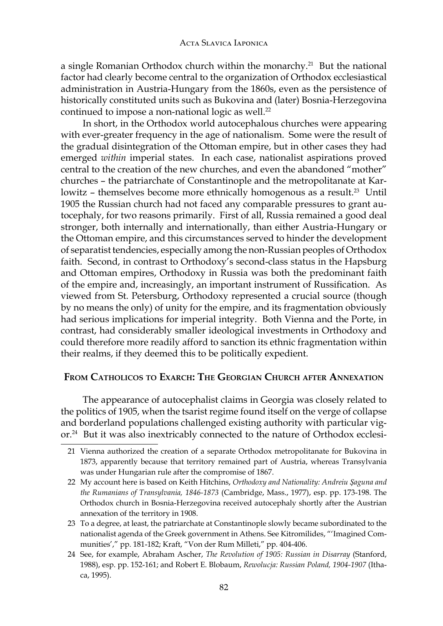a single Romanian Orthodox church within the monarchy.<sup>21</sup> But the national factor had clearly become central to the organization of Orthodox ecclesiastical administration in Austria-Hungary from the 1860s, even as the persistence of historically constituted units such as Bukovina and (later) Bosnia-Herzegovina continued to impose a non-national logic as well. $^{22}$ 

In short, in the Orthodox world autocephalous churches were appearing with ever-greater frequency in the age of nationalism. Some were the result of the gradual disintegration of the Ottoman empire, but in other cases they had emerged *within* imperial states. In each case, nationalist aspirations proved central to the creation of the new churches, and even the abandoned "mother" churches – the patriarchate of Constantinople and the metropolitanate at Karlowitz – themselves become more ethnically homogenous as a result.<sup>23</sup> Until 1905 the Russian church had not faced any comparable pressures to grant autocephaly, for two reasons primarily. First of all, Russia remained a good deal stronger, both internally and internationally, than either Austria-Hungary or the Ottoman empire, and this circumstances served to hinder the development of separatist tendencies, especially among the non-Russian peoples of Orthodox faith. Second, in contrast to Orthodoxy's second-class status in the Hapsburg and Ottoman empires, Orthodoxy in Russia was both the predominant faith of the empire and, increasingly, an important instrument of Russification. As viewed from St. Petersburg, Orthodoxy represented a crucial source (though by no means the only) of unity for the empire, and its fragmentation obviously had serious implications for imperial integrity. Both Vienna and the Porte, in contrast, had considerably smaller ideological investments in Orthodoxy and could therefore more readily afford to sanction its ethnic fragmentation within their realms, if they deemed this to be politically expedient.

## **From Catholicos to Exarch: The Georgian Church after Annexation**

The appearance of autocephalist claims in Georgia was closely related to the politics of 1905, when the tsarist regime found itself on the verge of collapse and borderland populations challenged existing authority with particular vigor.<sup>24</sup> But it was also inextricably connected to the nature of Orthodox ecclesi-

<sup>21</sup> Vienna authorized the creation of a separate Orthodox metropolitanate for Bukovina in 1873, apparently because that territory remained part of Austria, whereas Transylvania was under Hungarian rule after the compromise of 1867.

<sup>22</sup> My account here is based on Keith Hitchins, *Orthodoxy and Nationality: Andreiu Şaguna and the Rumanians of Transylvania, 1846-1873* (Cambridge, Mass., 1977), esp. pp. 173-198. The Orthodox church in Bosnia-Herzegovina received autocephaly shortly after the Austrian annexation of the territory in 1908.

<sup>23</sup> To a degree, at least, the patriarchate at Constantinople slowly became subordinated to the nationalist agenda of the Greek government in Athens. See Kitromilides, "'Imagined Communities'," pp. 181-182; Kraft, "Von der Rum Milleti," pp. 404-406.

<sup>24</sup> See, for example, Abraham Ascher, *The Revolution of 1905: Russian in Disarray* (Stanford, 1988), esp. pp. 152-161; and Robert E. Blobaum, *Rewolucja: Russian Poland, 1904-1907* (Ithaca, 1995).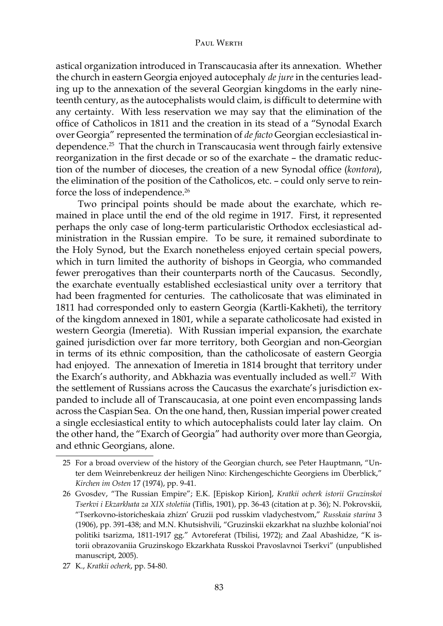astical organization introduced in Transcaucasia after its annexation. Whether the church in eastern Georgia enjoyed autocephaly *de jure* in the centuries leading up to the annexation of the several Georgian kingdoms in the early nineteenth century, as the autocephalists would claim, is difficult to determine with any certainty. With less reservation we may say that the elimination of the office of Catholicos in 1811 and the creation in its stead of a "Synodal Exarch over Georgia" represented the termination of *de facto* Georgian ecclesiastical independence.25 That the church in Transcaucasia went through fairly extensive reorganization in the first decade or so of the exarchate – the dramatic reduction of the number of dioceses, the creation of a new Synodal office (*kontora*), the elimination of the position of the Catholicos, etc. – could only serve to reinforce the loss of independence.<sup>26</sup>

Two principal points should be made about the exarchate, which remained in place until the end of the old regime in 1917. First, it represented perhaps the only case of long-term particularistic Orthodox ecclesiastical administration in the Russian empire. To be sure, it remained subordinate to the Holy Synod, but the Exarch nonetheless enjoyed certain special powers, which in turn limited the authority of bishops in Georgia, who commanded fewer prerogatives than their counterparts north of the Caucasus. Secondly, the exarchate eventually established ecclesiastical unity over a territory that had been fragmented for centuries. The catholicosate that was eliminated in 1811 had corresponded only to eastern Georgia (Kartli-Kakheti), the territory of the kingdom annexed in 1801, while a separate catholicosate had existed in western Georgia (Imeretia). With Russian imperial expansion, the exarchate gained jurisdiction over far more territory, both Georgian and non-Georgian in terms of its ethnic composition, than the catholicosate of eastern Georgia had enjoyed. The annexation of Imeretia in 1814 brought that territory under the Exarch's authority, and Abkhazia was eventually included as well.<sup>27</sup> With the settlement of Russians across the Caucasus the exarchate's jurisdiction expanded to include all of Transcaucasia, at one point even encompassing lands across the Caspian Sea. On the one hand, then, Russian imperial power created a single ecclesiastical entity to which autocephalists could later lay claim. On the other hand, the "Exarch of Georgia" had authority over more than Georgia, and ethnic Georgians, alone.

<sup>25</sup> For a broad overview of the history of the Georgian church, see Peter Hauptmann, "Unter dem Weinrebenkreuz der heiligen Nino: Kirchengeschichte Georgiens im Überblick," *Kirchen im Osten* 17 (1974), pp. 9-41.

<sup>26</sup> Gvosdev, "The Russian Empire"; E.K. [Episkop Kirion], *Kratkii ocherk istorii Gruzinskoi Tserkvi i Ekzarkhata za XIX stoletiia* (Tiflis, 1901), pp. 36-43 (citation at p. 36); N. Pokrovskii, "Tserkovno-istoricheskaia zhizn' Gruzii pod russkim vladychestvom," *Russkaia starina* 3 (1906), pp. 391-438; and M.N. Khutsishvili, "Gruzinskii ekzarkhat na sluzhbe kolonial'noi politiki tsarizma, 1811-1917 gg." Avtoreferat (Tbilisi, 1972); and Zaal Abashidze, "K istorii obrazovaniia Gruzinskogo Ekzarkhata Russkoi Pravoslavnoi Tserkvi" (unpublished manuscript, 2005).

<sup>27</sup> K., *Kratkii ocherk*, pp. 54-80.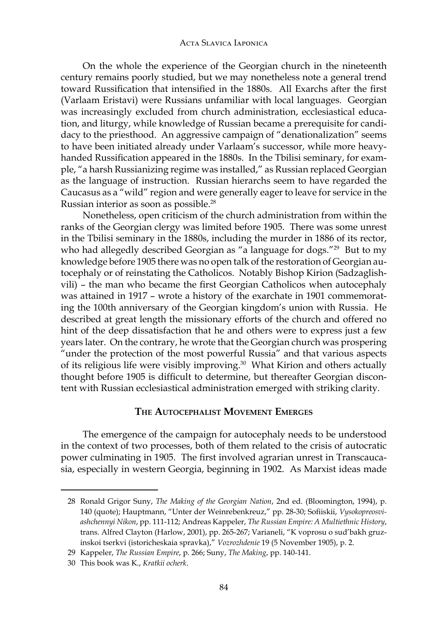On the whole the experience of the Georgian church in the nineteenth century remains poorly studied, but we may nonetheless note a general trend toward Russification that intensified in the 1880s. All Exarchs after the first (Varlaam Eristavi) were Russians unfamiliar with local languages. Georgian was increasingly excluded from church administration, ecclesiastical education, and liturgy, while knowledge of Russian became a prerequisite for candidacy to the priesthood. An aggressive campaign of "denationalization" seems to have been initiated already under Varlaam's successor, while more heavyhanded Russification appeared in the 1880s. In the Tbilisi seminary, for example, "a harsh Russianizing regime was installed," as Russian replaced Georgian as the language of instruction. Russian hierarchs seem to have regarded the Caucasus as a "wild" region and were generally eager to leave for service in the Russian interior as soon as possible.<sup>28</sup>

Nonetheless, open criticism of the church administration from within the ranks of the Georgian clergy was limited before 1905. There was some unrest in the Tbilisi seminary in the 1880s, including the murder in 1886 of its rector, who had allegedly described Georgian as "a language for dogs."<sup>29</sup> But to my knowledge before 1905 there was no open talk of the restoration of Georgian autocephaly or of reinstating the Catholicos. Notably Bishop Kirion (Sadzaglishvili) – the man who became the first Georgian Catholicos when autocephaly was attained in 1917 – wrote a history of the exarchate in 1901 commemorating the 100th anniversary of the Georgian kingdom's union with Russia. He described at great length the missionary efforts of the church and offered no hint of the deep dissatisfaction that he and others were to express just a few years later. On the contrary, he wrote that the Georgian church was prospering "under the protection of the most powerful Russia" and that various aspects of its religious life were visibly improving.<sup>30</sup> What Kirion and others actually thought before 1905 is difficult to determine, but thereafter Georgian discontent with Russian ecclesiastical administration emerged with striking clarity.

## **The Autocephalist Movement Emerges**

The emergence of the campaign for autocephaly needs to be understood in the context of two processes, both of them related to the crisis of autocratic power culminating in 1905. The first involved agrarian unrest in Transcaucasia, especially in western Georgia, beginning in 1902. As Marxist ideas made

<sup>28</sup> Ronald Grigor Suny, *The Making of the Georgian Nation*, 2nd ed. (Bloomington, 1994), p. 140 (quote); Hauptmann, "Unter der Weinrebenkreuz," pp. 28-30; Sofiiskii, *Vysokopreosviashchennyi Nikon*, pp. 111-112; Andreas Kappeler, *The Russian Empire: A Multiethnic History*, trans. Alfred Clayton (Harlow, 2001), pp. 265-267; Varianeli, "K voprosu o sud'bakh gruzinskoi tserkvi (istoricheskaia spravka)," *Vozrozhdenie* 19 (5 November 1905), p. 2.

<sup>29</sup> Kappeler, *The Russian Empire*, p. 266; Suny, *The Making*, pp. 140-141.

<sup>30</sup> This book was K., *Kratkii ocherk*.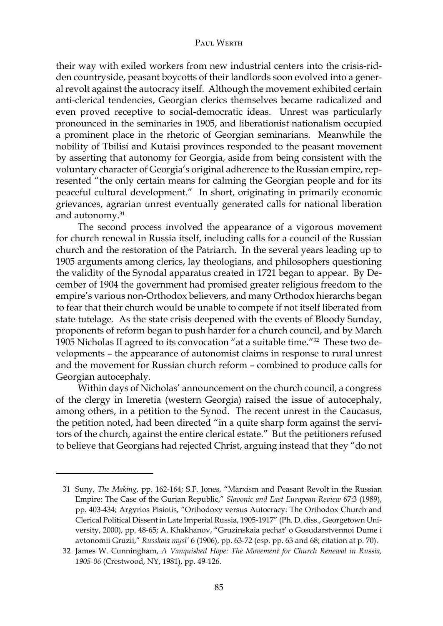their way with exiled workers from new industrial centers into the crisis-ridden countryside, peasant boycotts of their landlords soon evolved into a general revolt against the autocracy itself. Although the movement exhibited certain anti-clerical tendencies, Georgian clerics themselves became radicalized and even proved receptive to social-democratic ideas. Unrest was particularly pronounced in the seminaries in 1905, and liberationist nationalism occupied a prominent place in the rhetoric of Georgian seminarians. Meanwhile the nobility of Tbilisi and Kutaisi provinces responded to the peasant movement by asserting that autonomy for Georgia, aside from being consistent with the voluntary character of Georgia's original adherence to the Russian empire, represented "the only certain means for calming the Georgian people and for its peaceful cultural development." In short, originating in primarily economic grievances, agrarian unrest eventually generated calls for national liberation and autonomy.<sup>31</sup>

The second process involved the appearance of a vigorous movement for church renewal in Russia itself, including calls for a council of the Russian church and the restoration of the Patriarch. In the several years leading up to 1905 arguments among clerics, lay theologians, and philosophers questioning the validity of the Synodal apparatus created in 1721 began to appear. By December of 1904 the government had promised greater religious freedom to the empire's various non-Orthodox believers, and many Orthodox hierarchs began to fear that their church would be unable to compete if not itself liberated from state tutelage. As the state crisis deepened with the events of Bloody Sunday, proponents of reform began to push harder for a church council, and by March 1905 Nicholas II agreed to its convocation "at a suitable time."32 These two developments – the appearance of autonomist claims in response to rural unrest and the movement for Russian church reform – combined to produce calls for Georgian autocephaly.

Within days of Nicholas' announcement on the church council, a congress of the clergy in Imeretia (western Georgia) raised the issue of autocephaly, among others, in a petition to the Synod. The recent unrest in the Caucasus, the petition noted, had been directed "in a quite sharp form against the servitors of the church, against the entire clerical estate." But the petitioners refused to believe that Georgians had rejected Christ, arguing instead that they "do not

<sup>31</sup> Suny, *The Making*, pp. 162-164; S.F. Jones, "Marxism and Peasant Revolt in the Russian Empire: The Case of the Gurian Republic," *Slavonic and East European Review* 67:3 (1989), pp. 403-434; Argyrios Pisiotis, "Orthodoxy versus Autocracy: The Orthodox Church and Clerical Political Dissent in Late Imperial Russia, 1905-1917" (Ph. D. diss., Georgetown University, 2000), pp. 48-65; A. Khakhanov, "Gruzinskaia pechat' o Gosudarstvennoi Dume i avtonomii Gruzii," *Russkaia mysl'* 6 (1906), pp. 63-72 (esp. pp. 63 and 68; citation at p. 70).

<sup>32</sup> James W. Cunningham, *A Vanquished Hope: The Movement for Church Renewal in Russia, 1905-06* (Crestwood, NY, 1981), pp. 49-126.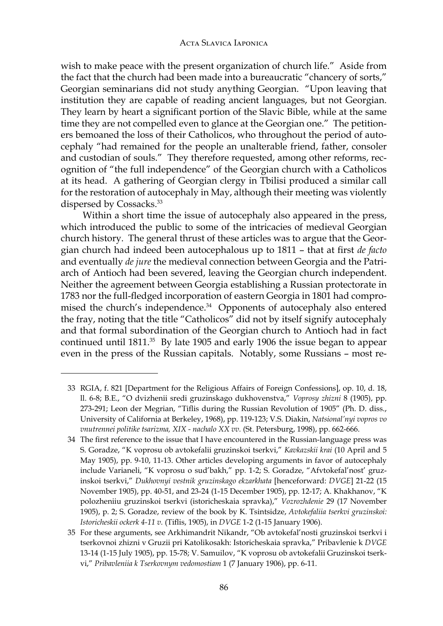wish to make peace with the present organization of church life." Aside from the fact that the church had been made into a bureaucratic "chancery of sorts," Georgian seminarians did not study anything Georgian. "Upon leaving that institution they are capable of reading ancient languages, but not Georgian. They learn by heart a significant portion of the Slavic Bible, while at the same time they are not compelled even to glance at the Georgian one." The petitioners bemoaned the loss of their Catholicos, who throughout the period of autocephaly "had remained for the people an unalterable friend, father, consoler and custodian of souls." They therefore requested, among other reforms, recognition of "the full independence" of the Georgian church with a Catholicos at its head. A gathering of Georgian clergy in Tbilisi produced a similar call for the restoration of autocephaly in May, although their meeting was violently dispersed by Cossacks.<sup>33</sup>

Within a short time the issue of autocephaly also appeared in the press, which introduced the public to some of the intricacies of medieval Georgian church history. The general thrust of these articles was to argue that the Georgian church had indeed been autocephalous up to 1811 – that at first *de facto* and eventually *de jure* the medieval connection between Georgia and the Patriarch of Antioch had been severed, leaving the Georgian church independent. Neither the agreement between Georgia establishing a Russian protectorate in 1783 nor the full-fledged incorporation of eastern Georgia in 1801 had compromised the church's independence.<sup>34</sup> Opponents of autocephaly also entered the fray, noting that the title "Catholicos" did not by itself signify autocephaly and that formal subordination of the Georgian church to Antioch had in fact continued until 1811.35 By late 1905 and early 1906 the issue began to appear even in the press of the Russian capitals. Notably, some Russians – most re-

<sup>33</sup> RGIA, f. 821 [Department for the Religious Affairs of Foreign Confessions], op. 10, d. 18, ll. 6-8; B.E., "O dvizhenii sredi gruzinskago dukhovenstva," *Voprosy zhizni* 8 (1905), pp. 273-291; Leon der Megrian, "Tiflis during the Russian Revolution of 1905" (Ph. D. diss., University of California at Berkeley, 1968), pp. 119-123; V.S. Diakin, *Natsional'nyi vopros vo vnutrennei politike tsarizma, XIX - nachalo XX vv.* (St. Petersburg, 1998), pp. 662-666.

<sup>34</sup> The first reference to the issue that I have encountered in the Russian-language press was S. Goradze, "K voprosu ob avtokefalii gruzinskoi tserkvi," *Kavkazskii krai* (10 April and 5 May 1905), pp. 9-10, 11-13. Other articles developing arguments in favor of autocephaly include Varianeli, "K voprosu o sud'bakh," pp. 1-2; S. Goradze, "Afvtokefal'nost' gruzinskoi tserkvi," *Dukhovnyi vestnik gruzinskago ekzarkhata* [henceforward: *DVGE*] 21-22 (15 November 1905), pp. 40-51, and 23-24 (1-15 December 1905), pp. 12-17; A. Khakhanov, "K polozheniiu gruzinskoi tserkvi (istoricheskaia spravka)," *Vozrozhdenie* 29 (17 November 1905), p. 2; S. Goradze, review of the book by K. Tsintsidze, *Avtokefaliia tserkvi gruzinskoi: Istoricheskii ockerk 4-11 v.* (Tiflis, 1905), in *DVGE* 1-2 (1-15 January 1906).

<sup>35</sup> For these arguments, see Arkhimandrit Nikandr, "Ob avtokefal'nosti gruzinskoi tserkvi i tserkovnoi zhizni v Gruzii pri Katolikosakh: Istoricheskaia spravka," Pribavlenie k *DVGE* 13-14 (1-15 July 1905), pp. 15-78; V. Samuilov, "K voprosu ob avtokefalii Gruzinskoi tserkvi," *Pribavleniia k Tserkovnym vedomostiam* 1 (7 January 1906), pp. 6-11.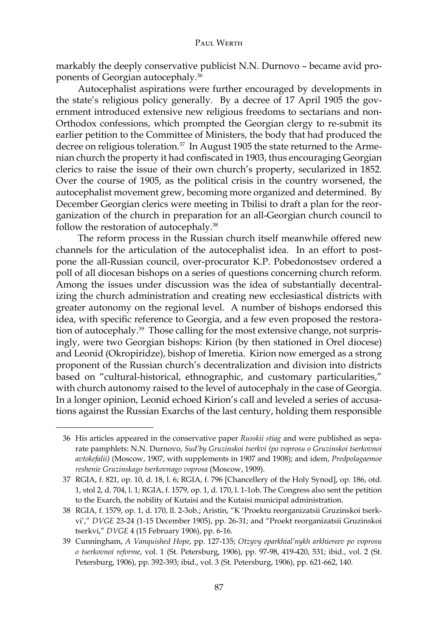markably the deeply conservative publicist N.N. Durnovo – became avid proponents of Georgian autocephaly.36

Autocephalist aspirations were further encouraged by developments in the state's religious policy generally. By a decree of 17 April 1905 the government introduced extensive new religious freedoms to sectarians and non-Orthodox confessions, which prompted the Georgian clergy to re-submit its earlier petition to the Committee of Ministers, the body that had produced the decree on religious toleration.<sup>37</sup> In August 1905 the state returned to the Armenian church the property it had confiscated in 1903, thus encouraging Georgian clerics to raise the issue of their own church's property, secularized in 1852. Over the course of 1905, as the political crisis in the country worsened, the autocephalist movement grew, becoming more organized and determined. By December Georgian clerics were meeting in Tbilisi to draft a plan for the reorganization of the church in preparation for an all-Georgian church council to follow the restoration of autocephaly.<sup>38</sup>

The reform process in the Russian church itself meanwhile offered new channels for the articulation of the autocephalist idea. In an effort to postpone the all-Russian council, over-procurator K.P. Pobedonostsev ordered a poll of all diocesan bishops on a series of questions concerning church reform. Among the issues under discussion was the idea of substantially decentralizing the church administration and creating new ecclesiastical districts with greater autonomy on the regional level. A number of bishops endorsed this idea, with specific reference to Georgia, and a few even proposed the restoration of autocephaly.39 Those calling for the most extensive change, not surprisingly, were two Georgian bishops: Kirion (by then stationed in Orel diocese) and Leonid (Okropiridze), bishop of Imeretia. Kirion now emerged as a strong proponent of the Russian church's decentralization and division into districts based on "cultural-historical, ethnographic, and customary particularities," with church autonomy raised to the level of autocephaly in the case of Georgia. In a longer opinion, Leonid echoed Kirion's call and leveled a series of accusations against the Russian Exarchs of the last century, holding them responsible

<sup>36</sup> His articles appeared in the conservative paper *Russkii stiag* and were published as separate pamphlets: N.N. Durnovo, *Sud'by Gruzinskoi tserkvi (po voprosu o Gruzinskoi tserkovnoi avtokefalii)* (Moscow, 1907, with supplements in 1907 and 1908); and idem, *Predpolagaemoe reshenie Gruzinskago tserkovnago voprosa* (Moscow, 1909).

<sup>37</sup> RGIA, f. 821, op. 10, d. 18, l. 6; RGIA, f. 796 [Chancellery of the Holy Synod], op. 186, otd. 1, stol 2, d. 704, l. 1; RGIA, f. 1579, op. 1, d. 170, l. 1-1ob. The Congress also sent the petition to the Exarch, the nobility of Kutaisi and the Kutaisi municipal administration.

<sup>38</sup> RGIA, f. 1579, op. 1, d. 170, ll. 2-3ob.; Aristin, "K 'Proektu reorganizatsii Gruzinskoi tserkvi'," *DVGE* 23-24 (1-15 December 1905), pp. 26-31; and "Proekt reorganizatsii Gruzinskoi tserkvi," *DVGE* 4 (15 February 1906), pp. 6-16.

<sup>39</sup> Cunningham, *A Vanquished Hope*, pp. 127-135; *Otzyvy eparkhial'nykh arkhiereev po voprosu o tserkovnoi reforme*, vol. 1 (St. Petersburg, 1906), pp. 97-98, 419-420, 531; ibid., vol. 2 (St. Petersburg, 1906), pp. 392-393; ibid., vol. 3 (St. Petersburg, 1906), pp. 621-662, 140.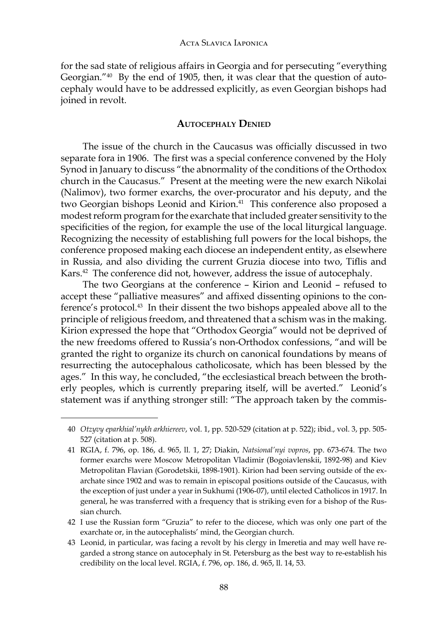for the sad state of religious affairs in Georgia and for persecuting "everything Georgian."40 By the end of 1905, then, it was clear that the question of autocephaly would have to be addressed explicitly, as even Georgian bishops had joined in revolt.

## **Autocephaly Denied**

The issue of the church in the Caucasus was officially discussed in two separate fora in 1906. The first was a special conference convened by the Holy Synod in January to discuss "the abnormality of the conditions of the Orthodox church in the Caucasus." Present at the meeting were the new exarch Nikolai (Nalimov), two former exarchs, the over-procurator and his deputy, and the two Georgian bishops Leonid and Kirion.<sup>41</sup> This conference also proposed a modest reform program for the exarchate that included greater sensitivity to the specificities of the region, for example the use of the local liturgical language. Recognizing the necessity of establishing full powers for the local bishops, the conference proposed making each diocese an independent entity, as elsewhere in Russia, and also dividing the current Gruzia diocese into two, Tiflis and Kars.<sup>42</sup> The conference did not, however, address the issue of autocephaly.

The two Georgians at the conference – Kirion and Leonid – refused to accept these "palliative measures" and affixed dissenting opinions to the conference's protocol.<sup>43</sup> In their dissent the two bishops appealed above all to the principle of religious freedom, and threatened that a schism was in the making. Kirion expressed the hope that "Orthodox Georgia" would not be deprived of the new freedoms offered to Russia's non-Orthodox confessions, "and will be granted the right to organize its church on canonical foundations by means of resurrecting the autocephalous catholicosate, which has been blessed by the ages." In this way, he concluded, "the ecclesiastical breach between the brotherly peoples, which is currently preparing itself, will be averted." Leonid's statement was if anything stronger still: "The approach taken by the commis-

<sup>40</sup> *Otzyvy eparkhial'nykh arkhiereev*, vol. 1, pp. 520-529 (citation at p. 522); ibid., vol. 3, pp. 505- 527 (citation at p. 508).

<sup>41</sup> RGIA, f. 796, op. 186, d. 965, ll. 1, 27; Diakin, *Natsional'nyi vopros*, pp. 673-674. The two former exarchs were Moscow Metropolitan Vladimir (Bogoiavlenskii, 1892-98) and Kiev Metropolitan Flavian (Gorodetskii, 1898-1901). Kirion had been serving outside of the exarchate since 1902 and was to remain in episcopal positions outside of the Caucasus, with the exception of just under a year in Sukhumi (1906-07), until elected Catholicos in 1917. In general, he was transferred with a frequency that is striking even for a bishop of the Russian church.

<sup>42</sup> I use the Russian form "Gruzia" to refer to the diocese, which was only one part of the exarchate or, in the autocephalists' mind, the Georgian church.

<sup>43</sup> Leonid, in particular, was facing a revolt by his clergy in Imeretia and may well have regarded a strong stance on autocephaly in St. Petersburg as the best way to re-establish his credibility on the local level. RGIA, f. 796, op. 186, d. 965, ll. 14, 53.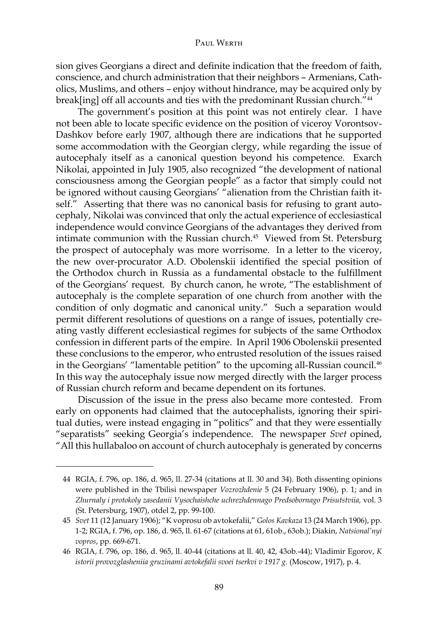sion gives Georgians a direct and definite indication that the freedom of faith, conscience, and church administration that their neighbors – Armenians, Catholics, Muslims, and others – enjoy without hindrance, may be acquired only by break[ing] off all accounts and ties with the predominant Russian church."<sup>44</sup>

The government's position at this point was not entirely clear. I have not been able to locate specific evidence on the position of viceroy Vorontsov-Dashkov before early 1907, although there are indications that he supported some accommodation with the Georgian clergy, while regarding the issue of autocephaly itself as a canonical question beyond his competence. Exarch Nikolai, appointed in July 1905, also recognized "the development of national consciousness among the Georgian people" as a factor that simply could not be ignored without causing Georgians' "alienation from the Christian faith itself." Asserting that there was no canonical basis for refusing to grant autocephaly, Nikolai was convinced that only the actual experience of ecclesiastical independence would convince Georgians of the advantages they derived from intimate communion with the Russian church.<sup>45</sup> Viewed from St. Petersburg the prospect of autocephaly was more worrisome. In a letter to the viceroy, the new over-procurator A.D. Obolenskii identified the special position of the Orthodox church in Russia as a fundamental obstacle to the fulfillment of the Georgians' request. By church canon, he wrote, "The establishment of autocephaly is the complete separation of one church from another with the condition of only dogmatic and canonical unity." Such a separation would permit different resolutions of questions on a range of issues, potentially creating vastly different ecclesiastical regimes for subjects of the same Orthodox confession in different parts of the empire. In April 1906 Obolenskii presented these conclusions to the emperor, who entrusted resolution of the issues raised in the Georgians' "lamentable petition" to the upcoming all-Russian council.<sup>46</sup> In this way the autocephaly issue now merged directly with the larger process of Russian church reform and became dependent on its fortunes.

Discussion of the issue in the press also became more contested. From early on opponents had claimed that the autocephalists, ignoring their spiritual duties, were instead engaging in "politics" and that they were essentially "separatists" seeking Georgia's independence. The newspaper *Svet* opined, "All this hullabaloo on account of church autocephaly is generated by concerns

<sup>44</sup> RGIA, f. 796, op. 186, d. 965, ll. 27-34 (citations at ll. 30 and 34). Both dissenting opinions were published in the Tbilisi newspaper *Vozrozhdenie* 5 (24 February 1906), p. 1; and in *Zhurnaly i protokoly zasedanii Vysochaishche uchrezhdennago Predsobornago Prisutstviia,* vol. 3 (St. Petersburg, 1907), otdel 2, pp. 99-100.

<sup>45</sup> *Svet* 11 (12 January 1906); "K voprosu ob avtokefalii," *Golos Kavkaza* 13 (24 March 1906), pp. 1-2; RGIA, f. 796, op. 186, d. 965, ll. 61-67 (citations at 61, 61ob., 63ob.); Diakin, *Natsional'nyi vopros*, pp. 669-671.

<sup>46</sup> RGIA, f. 796, op. 186, d. 965, ll. 40-44 (citations at ll. 40, 42, 43ob.-44); Vladimir Egorov, *K istorii provozglasheniia gruzinami avtokefalii svoei tserkvi v 1917 g.* (Moscow, 1917), p. 4.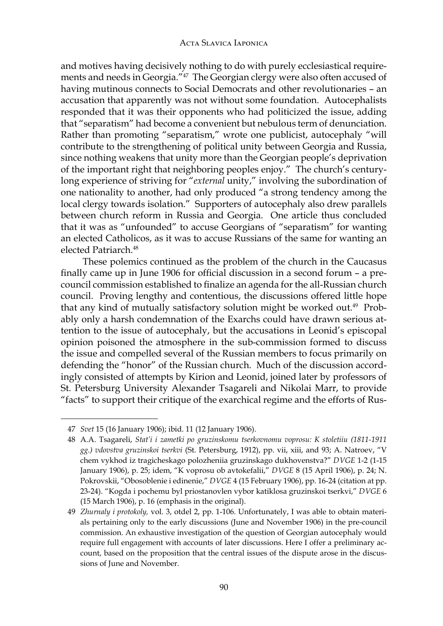and motives having decisively nothing to do with purely ecclesiastical requirements and needs in Georgia."47 The Georgian clergy were also often accused of having mutinous connects to Social Democrats and other revolutionaries – an accusation that apparently was not without some foundation. Autocephalists responded that it was their opponents who had politicized the issue, adding that "separatism" had become a convenient but nebulous term of denunciation. Rather than promoting "separatism," wrote one publicist, autocephaly "will contribute to the strengthening of political unity between Georgia and Russia, since nothing weakens that unity more than the Georgian people's deprivation of the important right that neighboring peoples enjoy." The church's centurylong experience of striving for "*external* unity," involving the subordination of one nationality to another, had only produced "a strong tendency among the local clergy towards isolation." Supporters of autocephaly also drew parallels between church reform in Russia and Georgia. One article thus concluded that it was as "unfounded" to accuse Georgians of "separatism" for wanting an elected Catholicos, as it was to accuse Russians of the same for wanting an elected Patriarch.<sup>48</sup>

These polemics continued as the problem of the church in the Caucasus finally came up in June 1906 for official discussion in a second forum – a precouncil commission established to finalize an agenda for the all-Russian church council. Proving lengthy and contentious, the discussions offered little hope that any kind of mutually satisfactory solution might be worked out.<sup>49</sup> Probably only a harsh condemnation of the Exarchs could have drawn serious attention to the issue of autocephaly, but the accusations in Leonid's episcopal opinion poisoned the atmosphere in the sub-commission formed to discuss the issue and compelled several of the Russian members to focus primarily on defending the "honor" of the Russian church. Much of the discussion accordingly consisted of attempts by Kirion and Leonid, joined later by professors of St. Petersburg University Alexander Tsagareli and Nikolai Marr, to provide "facts" to support their critique of the exarchical regime and the efforts of Rus-

<sup>47</sup> *Svet* 15 (16 January 1906); ibid. 11 (12 January 1906).

<sup>48</sup> A.A. Tsagareli, *Stat'i i zametki po gruzinskomu tserkovnomu voprosu: K stoletiiu (1811-1911 gg.) vdovstva gruzinskoi tserkvi* (St. Petersburg, 1912), pp. vii, xiii, and 93; A. Natroev, "V chem vykhod iz tragicheskago polozheniia gruzinskago dukhovenstva?" *DVGE* 1-2 (1-15 January 1906), p. 25; idem, "K voprosu ob avtokefalii," *DVGE* 8 (15 April 1906), p. 24; N. Pokrovskii, "Obosoblenie i edinenie," *DVGE* 4 (15 February 1906), pp. 16-24 (citation at pp. 23-24). "Kogda i pochemu byl priostanovlen vybor katiklosa gruzinskoi tserkvi," *DVGE* 6 (15 March 1906), p. 16 (emphasis in the original).

<sup>49</sup> *Zhurnaly i protokoly,* vol. 3, otdel 2, pp. 1-106. Unfortunately, I was able to obtain materials pertaining only to the early discussions (June and November 1906) in the pre-council commission. An exhaustive investigation of the question of Georgian autocephaly would require full engagement with accounts of later discussions. Here I offer a preliminary account, based on the proposition that the central issues of the dispute arose in the discussions of June and November.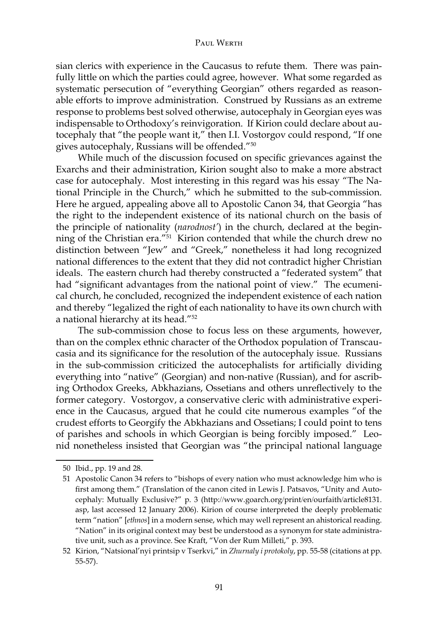sian clerics with experience in the Caucasus to refute them. There was painfully little on which the parties could agree, however. What some regarded as systematic persecution of "everything Georgian" others regarded as reasonable efforts to improve administration. Construed by Russians as an extreme response to problems best solved otherwise, autocephaly in Georgian eyes was indispensable to Orthodoxy's reinvigoration. If Kirion could declare about autocephaly that "the people want it," then I.I. Vostorgov could respond, "If one gives autocephaly, Russians will be offended."50

While much of the discussion focused on specific grievances against the Exarchs and their administration, Kirion sought also to make a more abstract case for autocephaly. Most interesting in this regard was his essay "The National Principle in the Church," which he submitted to the sub-commission. Here he argued, appealing above all to Apostolic Canon 34, that Georgia "has the right to the independent existence of its national church on the basis of the principle of nationality (*narodnost'*) in the church, declared at the beginning of the Christian era."51 Kirion contended that while the church drew no distinction between "Jew" and "Greek," nonetheless it had long recognized national differences to the extent that they did not contradict higher Christian ideals. The eastern church had thereby constructed a "federated system" that had "significant advantages from the national point of view." The ecumenical church, he concluded, recognized the independent existence of each nation and thereby "legalized the right of each nationality to have its own church with a national hierarchy at its head."52

The sub-commission chose to focus less on these arguments, however, than on the complex ethnic character of the Orthodox population of Transcaucasia and its significance for the resolution of the autocephaly issue. Russians in the sub-commission criticized the autocephalists for artificially dividing everything into "native" (Georgian) and non-native (Russian), and for ascribing Orthodox Greeks, Abkhazians, Ossetians and others unreflectively to the former category. Vostorgov, a conservative cleric with administrative experience in the Caucasus, argued that he could cite numerous examples "of the crudest efforts to Georgify the Abkhazians and Ossetians; I could point to tens of parishes and schools in which Georgian is being forcibly imposed." Leonid nonetheless insisted that Georgian was "the principal national language

<sup>50</sup> Ibid., pp. 19 and 28.

<sup>51</sup> Apostolic Canon 34 refers to "bishops of every nation who must acknowledge him who is first among them." (Translation of the canon cited in Lewis J. Patsavos, "Unity and Autocephaly: Mutually Exclusive?" p. 3 (http://www.goarch.org/print/en/ourfaith/article8131. asp, last accessed 12 January 2006). Kirion of course interpreted the deeply problematic term "nation" [*ethnos*] in a modern sense, which may well represent an ahistorical reading. "Nation" in its original context may best be understood as a synonym for state administrative unit, such as a province. See Kraft, "Von der Rum Milleti," p. 393.

<sup>52</sup> Kirion, "Natsional'nyi printsip v Tserkvi," in *Zhurnaly i protokoly*, pp. 55-58 (citations at pp. 55-57).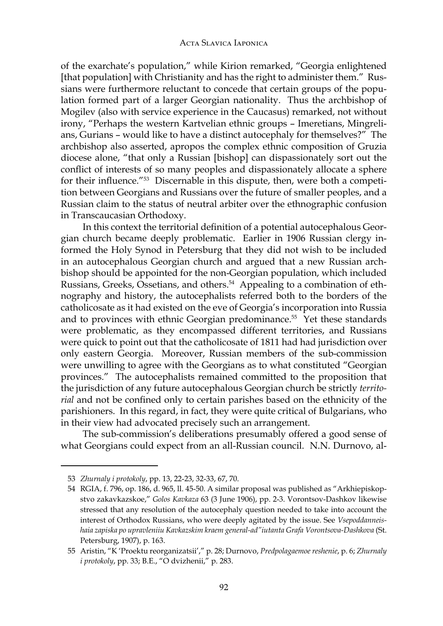of the exarchate's population," while Kirion remarked, "Georgia enlightened [that population] with Christianity and has the right to administer them." Russians were furthermore reluctant to concede that certain groups of the population formed part of a larger Georgian nationality. Thus the archbishop of Mogilev (also with service experience in the Caucasus) remarked, not without irony, "Perhaps the western Kartvelian ethnic groups – Imeretians, Mingrelians, Gurians – would like to have a distinct autocephaly for themselves?" The archbishop also asserted, apropos the complex ethnic composition of Gruzia diocese alone, "that only a Russian [bishop] can dispassionately sort out the conflict of interests of so many peoples and dispassionately allocate a sphere for their influence."53 Discernable in this dispute, then, were both a competition between Georgians and Russians over the future of smaller peoples, and a Russian claim to the status of neutral arbiter over the ethnographic confusion in Transcaucasian Orthodoxy.

In this context the territorial definition of a potential autocephalous Georgian church became deeply problematic. Earlier in 1906 Russian clergy informed the Holy Synod in Petersburg that they did not wish to be included in an autocephalous Georgian church and argued that a new Russian archbishop should be appointed for the non-Georgian population, which included Russians, Greeks, Ossetians, and others.54 Appealing to a combination of ethnography and history, the autocephalists referred both to the borders of the catholicosate as it had existed on the eve of Georgia's incorporation into Russia and to provinces with ethnic Georgian predominance.<sup>55</sup> Yet these standards were problematic, as they encompassed different territories, and Russians were quick to point out that the catholicosate of 1811 had had jurisdiction over only eastern Georgia. Moreover, Russian members of the sub-commission were unwilling to agree with the Georgians as to what constituted "Georgian provinces." The autocephalists remained committed to the proposition that the jurisdiction of any future autocephalous Georgian church be strictly *territorial* and not be confined only to certain parishes based on the ethnicity of the parishioners. In this regard, in fact, they were quite critical of Bulgarians, who in their view had advocated precisely such an arrangement.

The sub-commission's deliberations presumably offered a good sense of what Georgians could expect from an all-Russian council. N.N. Durnovo, al-

<sup>53</sup> *Zhurnaly i protokoly*, pp. 13, 22-23, 32-33, 67, 70.

<sup>54</sup> RGIA, f. 796, op. 186, d. 965, ll. 45-50. A similar proposal was published as "Arkhiepiskopstvo zakavkazskoe," *Golos Kavkaza* 63 (3 June 1906), pp. 2-3. Vorontsov-Dashkov likewise stressed that any resolution of the autocephaly question needed to take into account the interest of Orthodox Russians, who were deeply agitated by the issue. See *Vsepoddanneishaia zapiska po upravleniiu Kavkazskim kraem general-ad"iutanta Grafa Vorontsova-Dashkova* (St. Petersburg, 1907), p. 163.

<sup>55</sup> Aristin, "K 'Proektu reorganizatsii'," p. 28; Durnovo, *Predpolagaemoe reshenie*, p. 6; *Zhurnaly i protokoly*, pp. 33; B.E., "O dvizhenii," p. 283.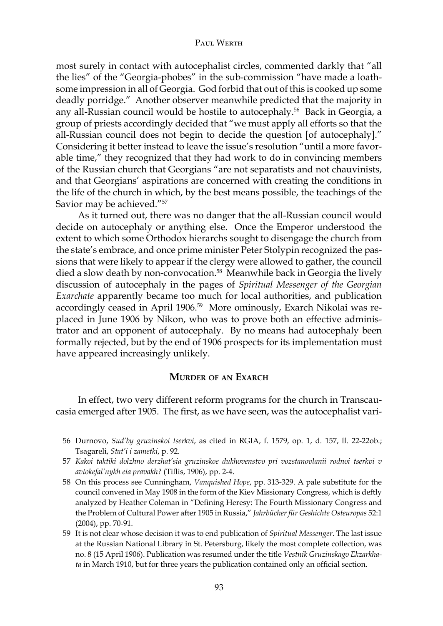most surely in contact with autocephalist circles, commented darkly that "all the lies" of the "Georgia-phobes" in the sub-commission "have made a loathsome impression in all of Georgia. God forbid that out of this is cooked up some deadly porridge." Another observer meanwhile predicted that the majority in any all-Russian council would be hostile to autocephaly.56 Back in Georgia, a group of priests accordingly decided that "we must apply all efforts so that the all-Russian council does not begin to decide the question [of autocephaly]." Considering it better instead to leave the issue's resolution "until a more favorable time," they recognized that they had work to do in convincing members of the Russian church that Georgians "are not separatists and not chauvinists, and that Georgians' aspirations are concerned with creating the conditions in the life of the church in which, by the best means possible, the teachings of the Savior may be achieved."<sup>57</sup>

As it turned out, there was no danger that the all-Russian council would decide on autocephaly or anything else. Once the Emperor understood the extent to which some Orthodox hierarchs sought to disengage the church from the state's embrace, and once prime minister Peter Stolypin recognized the passions that were likely to appear if the clergy were allowed to gather, the council died a slow death by non-convocation.<sup>58</sup> Meanwhile back in Georgia the lively discussion of autocephaly in the pages of *Spiritual Messenger of the Georgian Exarchate* apparently became too much for local authorities, and publication accordingly ceased in April 1906.<sup>59</sup> More ominously, Exarch Nikolai was replaced in June 1906 by Nikon, who was to prove both an effective administrator and an opponent of autocephaly. By no means had autocephaly been formally rejected, but by the end of 1906 prospects for its implementation must have appeared increasingly unlikely.

## **Murder of an Exarch**

In effect, two very different reform programs for the church in Transcaucasia emerged after 1905. The first, as we have seen, was the autocephalist vari-

<sup>56</sup> Durnovo, *Sud'by gruzinskoi tserkvi*, as cited in RGIA, f. 1579, op. 1, d. 157, ll. 22-22ob.; Tsagareli, *Stat'i i zametki*, p. 92.

<sup>57</sup> *Kakoi taktiki dolzhno derzhat'sia gruzinskoe dukhovenstvo pri vozstanovlanii rodnoi tserkvi v avtokefal'nykh eia pravakh?* (Tiflis, 1906), pp. 2-4.

<sup>58</sup> On this process see Cunningham, *Vanquished Hope*, pp. 313-329. A pale substitute for the council convened in May 1908 in the form of the Kiev Missionary Congress, which is deftly analyzed by Heather Coleman in "Defining Heresy: The Fourth Missionary Congress and the Problem of Cultural Power after 1905 in Russia," *Jahrbücher für Geshichte Osteuropas* 52:1 (2004), pp. 70-91.

<sup>59</sup> It is not clear whose decision it was to end publication of *Spiritual Messenger*. The last issue at the Russian National Library in St. Petersburg, likely the most complete collection, was no. 8 (15 April 1906). Publication was resumed under the title *Vestnik Gruzinskago Ekzarkhata* in March 1910, but for three years the publication contained only an official section.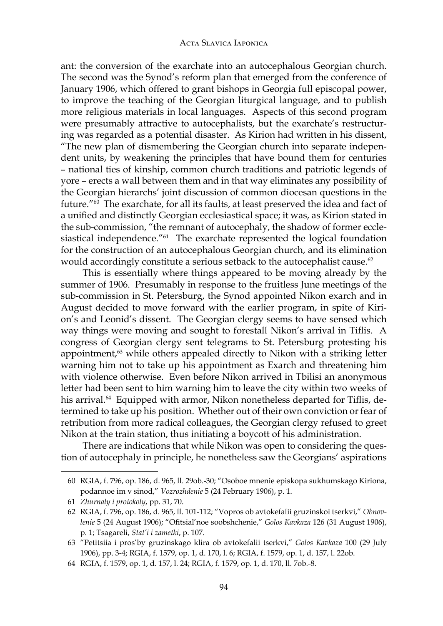ant: the conversion of the exarchate into an autocephalous Georgian church. The second was the Synod's reform plan that emerged from the conference of January 1906, which offered to grant bishops in Georgia full episcopal power, to improve the teaching of the Georgian liturgical language, and to publish more religious materials in local languages. Aspects of this second program were presumably attractive to autocephalists, but the exarchate's restructuring was regarded as a potential disaster. As Kirion had written in his dissent, "The new plan of dismembering the Georgian church into separate independent units, by weakening the principles that have bound them for centuries – national ties of kinship, common church traditions and patriotic legends of yore – erects a wall between them and in that way eliminates any possibility of the Georgian hierarchs' joint discussion of common diocesan questions in the future."60 The exarchate, for all its faults, at least preserved the idea and fact of a unified and distinctly Georgian ecclesiastical space; it was, as Kirion stated in the sub-commission, "the remnant of autocephaly, the shadow of former ecclesiastical independence."<sup>61</sup> The exarchate represented the logical foundation for the construction of an autocephalous Georgian church, and its elimination would accordingly constitute a serious setback to the autocephalist cause.<sup>62</sup>

This is essentially where things appeared to be moving already by the summer of 1906. Presumably in response to the fruitless June meetings of the sub-commission in St. Petersburg, the Synod appointed Nikon exarch and in August decided to move forward with the earlier program, in spite of Kirion's and Leonid's dissent. The Georgian clergy seems to have sensed which way things were moving and sought to forestall Nikon's arrival in Tiflis. A congress of Georgian clergy sent telegrams to St. Petersburg protesting his appointment, $63$  while others appealed directly to Nikon with a striking letter warning him not to take up his appointment as Exarch and threatening him with violence otherwise. Even before Nikon arrived in Tbilisi an anonymous letter had been sent to him warning him to leave the city within two weeks of his arrival.<sup>64</sup> Equipped with armor, Nikon nonetheless departed for Tiflis, determined to take up his position. Whether out of their own conviction or fear of retribution from more radical colleagues, the Georgian clergy refused to greet Nikon at the train station, thus initiating a boycott of his administration.

There are indications that while Nikon was open to considering the question of autocephaly in principle, he nonetheless saw the Georgians' aspirations

<sup>60</sup> RGIA, f. 796, op. 186, d. 965, ll. 29ob.-30; "Osoboe mnenie episkopa sukhumskago Kiriona, podannoe im v sinod," *Vozrozhdenie* 5 (24 February 1906), p. 1.

<sup>61</sup> *Zhurnaly i protokoly*, pp. 31, 70.

<sup>62</sup> RGIA, f. 796, op. 186, d. 965, ll. 101-112; "Vopros ob avtokefalii gruzinskoi tserkvi," *Obnovlenie* 5 (24 August 1906); "Ofitsial'noe soobshchenie," *Golos Kavkaza* 126 (31 August 1906), p. 1; Tsagareli, *Stat'i i zametki*, p. 107.

<sup>63</sup> "Petitsiia i pros'by gruzinskago klira ob avtokefalii tserkvi," *Golos Kavkaza* 100 (29 July 1906), pp. 3-4; RGIA, f. 1579, op. 1, d. 170, l. 6; RGIA, f. 1579, op. 1, d. 157, l. 22ob.

<sup>64</sup> RGIA, f. 1579, op. 1, d. 157, l. 24; RGIA, f. 1579, op. 1, d. 170, ll. 7ob.-8.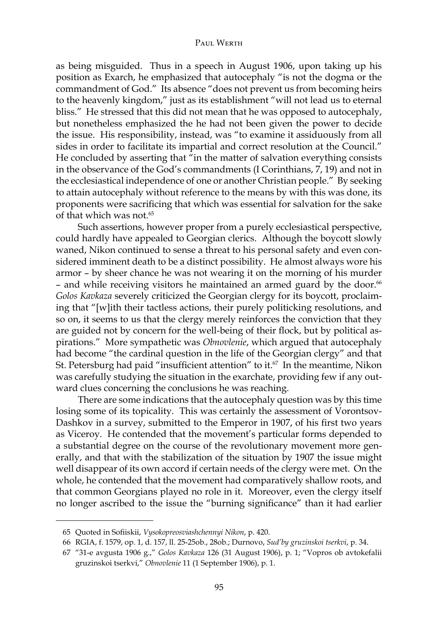as being misguided. Thus in a speech in August 1906, upon taking up his position as Exarch, he emphasized that autocephaly "is not the dogma or the commandment of God." Its absence "does not prevent us from becoming heirs to the heavenly kingdom," just as its establishment "will not lead us to eternal bliss." He stressed that this did not mean that he was opposed to autocephaly, but nonetheless emphasized the he had not been given the power to decide the issue. His responsibility, instead, was "to examine it assiduously from all sides in order to facilitate its impartial and correct resolution at the Council." He concluded by asserting that "in the matter of salvation everything consists in the observance of the God's commandments (I Corinthians, 7, 19) and not in the ecclesiastical independence of one or another Christian people." By seeking to attain autocephaly without reference to the means by with this was done, its proponents were sacrificing that which was essential for salvation for the sake of that which was not.<sup>65</sup>

Such assertions, however proper from a purely ecclesiastical perspective, could hardly have appealed to Georgian clerics. Although the boycott slowly waned, Nikon continued to sense a threat to his personal safety and even considered imminent death to be a distinct possibility. He almost always wore his armor – by sheer chance he was not wearing it on the morning of his murder – and while receiving visitors he maintained an armed guard by the door.66 *Golos Kavkaza* severely criticized the Georgian clergy for its boycott, proclaiming that "[w]ith their tactless actions, their purely politicking resolutions, and so on, it seems to us that the clergy merely reinforces the conviction that they are guided not by concern for the well-being of their flock, but by political aspirations." More sympathetic was *Obnovlenie*, which argued that autocephaly had become "the cardinal question in the life of the Georgian clergy" and that St. Petersburg had paid "insufficient attention" to it.<sup>67</sup> In the meantime, Nikon was carefully studying the situation in the exarchate, providing few if any outward clues concerning the conclusions he was reaching.

There are some indications that the autocephaly question was by this time losing some of its topicality. This was certainly the assessment of Vorontsov-Dashkov in a survey, submitted to the Emperor in 1907, of his first two years as Viceroy. He contended that the movement's particular forms depended to a substantial degree on the course of the revolutionary movement more generally, and that with the stabilization of the situation by 1907 the issue might well disappear of its own accord if certain needs of the clergy were met. On the whole, he contended that the movement had comparatively shallow roots, and that common Georgians played no role in it. Moreover, even the clergy itself no longer ascribed to the issue the "burning significance" than it had earlier

<sup>65</sup> Quoted in Sofiiskii, *Vysokopreosviashchennyi Nikon*, p. 420.

<sup>66</sup> RGIA, f. 1579, op. 1, d. 157, ll. 25-25ob., 28ob.; Durnovo, *Sud'by gruzinskoi tserkvi*, p. 34.

<sup>67</sup> "31-e avgusta 1906 g.," *Golos Kavkaza* 126 (31 August 1906), p. 1; "Vopros ob avtokefalii gruzinskoi tserkvi," *Obnovlenie* 11 (1 September 1906), p. 1.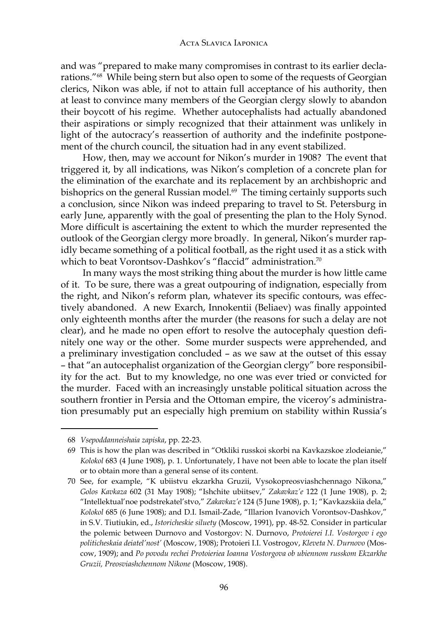and was "prepared to make many compromises in contrast to its earlier declarations."68 While being stern but also open to some of the requests of Georgian clerics, Nikon was able, if not to attain full acceptance of his authority, then at least to convince many members of the Georgian clergy slowly to abandon their boycott of his regime. Whether autocephalists had actually abandoned their aspirations or simply recognized that their attainment was unlikely in light of the autocracy's reassertion of authority and the indefinite postponement of the church council, the situation had in any event stabilized.

How, then, may we account for Nikon's murder in 1908? The event that triggered it, by all indications, was Nikon's completion of a concrete plan for the elimination of the exarchate and its replacement by an archbishopric and bishoprics on the general Russian model.<sup>69</sup> The timing certainly supports such a conclusion, since Nikon was indeed preparing to travel to St. Petersburg in early June, apparently with the goal of presenting the plan to the Holy Synod. More difficult is ascertaining the extent to which the murder represented the outlook of the Georgian clergy more broadly. In general, Nikon's murder rapidly became something of a political football, as the right used it as a stick with which to beat Vorontsov-Dashkov's "flaccid" administration.<sup>70</sup>

In many ways the most striking thing about the murder is how little came of it. To be sure, there was a great outpouring of indignation, especially from the right, and Nikon's reform plan, whatever its specific contours, was effectively abandoned. A new Exarch, Innokentii (Beliaev) was finally appointed only eighteenth months after the murder (the reasons for such a delay are not clear), and he made no open effort to resolve the autocephaly question definitely one way or the other. Some murder suspects were apprehended, and a preliminary investigation concluded – as we saw at the outset of this essay – that "an autocephalist organization of the Georgian clergy" bore responsibility for the act. But to my knowledge, no one was ever tried or convicted for the murder. Faced with an increasingly unstable political situation across the southern frontier in Persia and the Ottoman empire, the viceroy's administration presumably put an especially high premium on stability within Russia's

<sup>68</sup> *Vsepoddanneishaia zapiska*, pp. 22-23.

<sup>69</sup> This is how the plan was described in "Otkliki russkoi skorbi na Kavkazskoe zlodeianie," *Kolokol* 683 (4 June 1908), p. 1. Unfortunately, I have not been able to locate the plan itself or to obtain more than a general sense of its content.

<sup>70</sup> See, for example, "K ubiistvu ekzarkha Gruzii, Vysokopreosviashchennago Nikona," *Golos Kavkaza* 602 (31 May 1908); "Ishchite ubiitsev," *Zakavkaz'e* 122 (1 June 1908), p. 2; "Intellektual'noe podstrekatel'stvo," *Zakavkaz'e* 124 (5 June 1908), p. 1; "Kavkazskiia dela," *Kolokol* 685 (6 June 1908); and D.I. Ismail-Zade, "Illarion Ivanovich Vorontsov-Dashkov," in S.V. Tiutiukin, ed., *Istoricheskie siluety* (Moscow, 1991), pp. 48-52. Consider in particular the polemic between Durnovo and Vostorgov: N. Durnovo, *Protoierei I.I. Vostorgov i ego politicheskaia deiatel'nost'* (Moscow, 1908); Protoieri I.I. Vostrogov, *Kleveta N. Durnovo* (Moscow, 1909); and *Po povodu rechei Protoieriea Ioanna Vostorgova ob ubiennom russkom Ekzarkhe Gruzii, Preosviashchennom Nikone* (Moscow, 1908).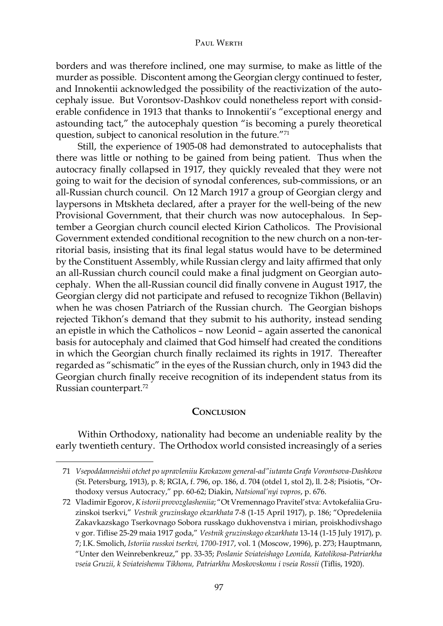borders and was therefore inclined, one may surmise, to make as little of the murder as possible. Discontent among the Georgian clergy continued to fester, and Innokentii acknowledged the possibility of the reactivization of the autocephaly issue. But Vorontsov-Dashkov could nonetheless report with considerable confidence in 1913 that thanks to Innokentii's "exceptional energy and astounding tact," the autocephaly question "is becoming a purely theoretical question, subject to canonical resolution in the future."71

Still, the experience of 1905-08 had demonstrated to autocephalists that there was little or nothing to be gained from being patient. Thus when the autocracy finally collapsed in 1917, they quickly revealed that they were not going to wait for the decision of synodal conferences, sub-commissions, or an all-Russian church council. On 12 March 1917 a group of Georgian clergy and laypersons in Mtskheta declared, after a prayer for the well-being of the new Provisional Government, that their church was now autocephalous. In September a Georgian church council elected Kirion Catholicos. The Provisional Government extended conditional recognition to the new church on a non-territorial basis, insisting that its final legal status would have to be determined by the Constituent Assembly, while Russian clergy and laity affirmed that only an all-Russian church council could make a final judgment on Georgian autocephaly. When the all-Russian council did finally convene in August 1917, the Georgian clergy did not participate and refused to recognize Tikhon (Bellavin) when he was chosen Patriarch of the Russian church. The Georgian bishops rejected Tikhon's demand that they submit to his authority, instead sending an epistle in which the Catholicos – now Leonid – again asserted the canonical basis for autocephaly and claimed that God himself had created the conditions in which the Georgian church finally reclaimed its rights in 1917. Thereafter regarded as "schismatic" in the eyes of the Russian church, only in 1943 did the Georgian church finally receive recognition of its independent status from its Russian counterpart.72

### **CONCLUSION**

Within Orthodoxy, nationality had become an undeniable reality by the early twentieth century. The Orthodox world consisted increasingly of a series

<sup>71</sup> *Vsepoddanneishii otchet po upravleniiu Kavkazom general-ad"iutanta Grafa Vorontsova-Dashkova* (St. Petersburg, 1913), p. 8; RGIA, f. 796, op. 186, d. 704 (otdel 1, stol 2), ll. 2-8; Pisiotis, "Orthodoxy versus Autocracy," pp. 60-62; Diakin, *Natsional'nyi vopros*, p. 676.

<sup>72</sup> Vladimir Egorov, *K istorii provozglasheniia*; "Ot Vremennago Pravitel'stva: Avtokefaliia Gruzinskoi tserkvi," *Vestnik gruzinskago ekzarkhata* 7-8 (1-15 April 1917), p. 186; "Opredeleniia Zakavkazskago Tserkovnago Sobora russkago dukhovenstva i mirian, proiskhodivshago v gor. Tiflise 25-29 maia 1917 goda," *Vestnik gruzinskago ekzarkhata* 13-14 (1-15 July 1917), p. 7; I.K. Smolich, *Istoriia russkoi tserkvi, 1700-1917*, vol. 1 (Moscow, 1996), p. 273; Hauptmann, "Unter den Weinrebenkreuz," pp. 33-35; *Poslanie Sviateishago Leonida, Katolikosa-Patriarkha vseia Gruzii, k Sviateishemu Tikhonu, Patriarkhu Moskovskomu i vseia Rossii* (Tiflis, 1920).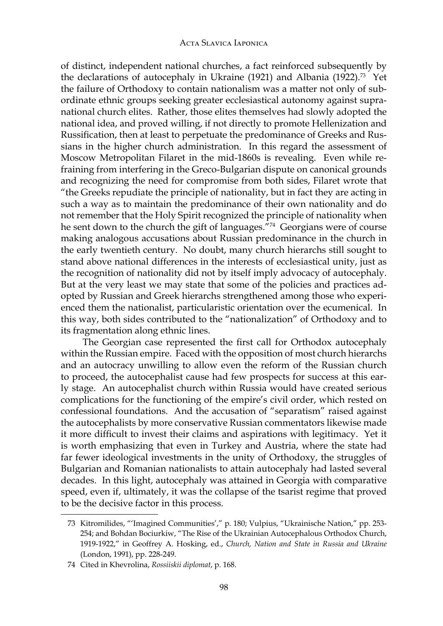of distinct, independent national churches, a fact reinforced subsequently by the declarations of autocephaly in Ukraine (1921) and Albania (1922).<sup>73</sup> Yet the failure of Orthodoxy to contain nationalism was a matter not only of subordinate ethnic groups seeking greater ecclesiastical autonomy against supranational church elites. Rather, those elites themselves had slowly adopted the national idea, and proved willing, if not directly to promote Hellenization and Russification, then at least to perpetuate the predominance of Greeks and Russians in the higher church administration. In this regard the assessment of Moscow Metropolitan Filaret in the mid-1860s is revealing. Even while refraining from interfering in the Greco-Bulgarian dispute on canonical grounds and recognizing the need for compromise from both sides, Filaret wrote that "the Greeks repudiate the principle of nationality, but in fact they are acting in such a way as to maintain the predominance of their own nationality and do not remember that the Holy Spirit recognized the principle of nationality when he sent down to the church the gift of languages."74 Georgians were of course making analogous accusations about Russian predominance in the church in the early twentieth century. No doubt, many church hierarchs still sought to stand above national differences in the interests of ecclesiastical unity, just as the recognition of nationality did not by itself imply advocacy of autocephaly. But at the very least we may state that some of the policies and practices adopted by Russian and Greek hierarchs strengthened among those who experienced them the nationalist, particularistic orientation over the ecumenical. In this way, both sides contributed to the "nationalization" of Orthodoxy and to its fragmentation along ethnic lines.

The Georgian case represented the first call for Orthodox autocephaly within the Russian empire. Faced with the opposition of most church hierarchs and an autocracy unwilling to allow even the reform of the Russian church to proceed, the autocephalist cause had few prospects for success at this early stage. An autocephalist church within Russia would have created serious complications for the functioning of the empire's civil order, which rested on confessional foundations. And the accusation of "separatism" raised against the autocephalists by more conservative Russian commentators likewise made it more difficult to invest their claims and aspirations with legitimacy. Yet it is worth emphasizing that even in Turkey and Austria, where the state had far fewer ideological investments in the unity of Orthodoxy, the struggles of Bulgarian and Romanian nationalists to attain autocephaly had lasted several decades. In this light, autocephaly was attained in Georgia with comparative speed, even if, ultimately, it was the collapse of the tsarist regime that proved to be the decisive factor in this process.

<sup>73</sup> Kitromilides, "'Imagined Communities'," p. 180; Vulpius, "Ukrainische Nation," pp. 253- 254; and Bohdan Bociurkiw, "The Rise of the Ukrainian Autocephalous Orthodox Church, 1919-1922," in Geoffrey A. Hosking, ed., *Church, Nation and State in Russia and Ukraine* (London, 1991), pp. 228-249.

<sup>74</sup> Cited in Khevrolina, *Rossiiskii diplomat*, p. 168.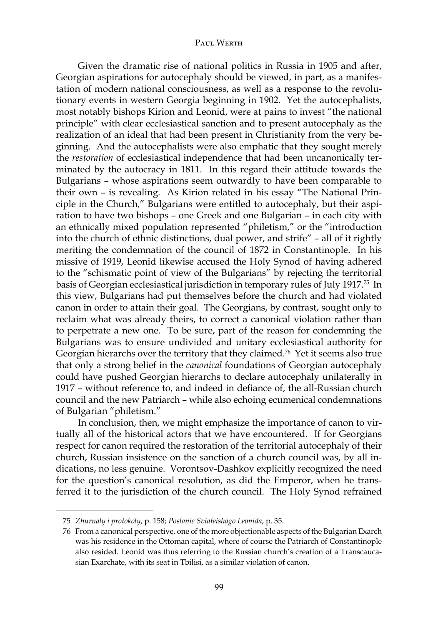Given the dramatic rise of national politics in Russia in 1905 and after, Georgian aspirations for autocephaly should be viewed, in part, as a manifestation of modern national consciousness, as well as a response to the revolutionary events in western Georgia beginning in 1902. Yet the autocephalists, most notably bishops Kirion and Leonid, were at pains to invest "the national principle" with clear ecclesiastical sanction and to present autocephaly as the realization of an ideal that had been present in Christianity from the very beginning. And the autocephalists were also emphatic that they sought merely the *restoration* of ecclesiastical independence that had been uncanonically terminated by the autocracy in 1811. In this regard their attitude towards the Bulgarians – whose aspirations seem outwardly to have been comparable to their own – is revealing. As Kirion related in his essay "The National Principle in the Church," Bulgarians were entitled to autocephaly, but their aspiration to have two bishops – one Greek and one Bulgarian – in each city with an ethnically mixed population represented "philetism," or the "introduction into the church of ethnic distinctions, dual power, and strife" – all of it rightly meriting the condemnation of the council of 1872 in Constantinople. In his missive of 1919, Leonid likewise accused the Holy Synod of having adhered to the "schismatic point of view of the Bulgarians" by rejecting the territorial basis of Georgian ecclesiastical jurisdiction in temporary rules of July 1917.<sup>75</sup> In this view, Bulgarians had put themselves before the church and had violated canon in order to attain their goal. The Georgians, by contrast, sought only to reclaim what was already theirs, to correct a canonical violation rather than to perpetrate a new one. To be sure, part of the reason for condemning the Bulgarians was to ensure undivided and unitary ecclesiastical authority for Georgian hierarchs over the territory that they claimed.<sup>76</sup> Yet it seems also true that only a strong belief in the *canonical* foundations of Georgian autocephaly could have pushed Georgian hierarchs to declare autocephaly unilaterally in 1917 – without reference to, and indeed in defiance of, the all-Russian church council and the new Patriarch – while also echoing ecumenical condemnations of Bulgarian "philetism."

In conclusion, then, we might emphasize the importance of canon to virtually all of the historical actors that we have encountered. If for Georgians respect for canon required the restoration of the territorial autocephaly of their church, Russian insistence on the sanction of a church council was, by all indications, no less genuine. Vorontsov-Dashkov explicitly recognized the need for the question's canonical resolution, as did the Emperor, when he transferred it to the jurisdiction of the church council. The Holy Synod refrained

<sup>75</sup> *Zhurnaly i protokoly*, p. 158; *Poslanie Sviateishago Leonida*, p. 35.

<sup>76</sup> From a canonical perspective, one of the more objectionable aspects of the Bulgarian Exarch was his residence in the Ottoman capital, where of course the Patriarch of Constantinople also resided. Leonid was thus referring to the Russian church's creation of a Transcaucasian Exarchate, with its seat in Tbilisi, as a similar violation of canon.